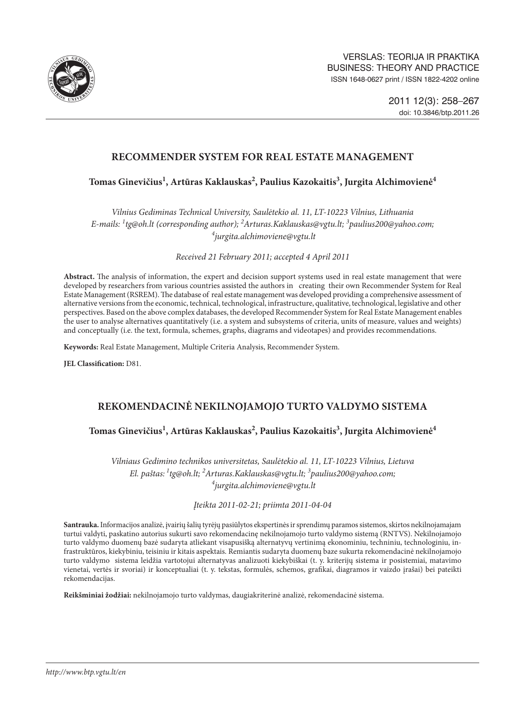

# **RECOMMENDER SYSTEM FOR REAL ESTATE MANAGEMENT**

**Tomas Ginevičius1 , Artūras Kaklauskas2 , Paulius Kazokaitis3 , Jurgita Alchimovienė4**

*Vilnius Gediminas Technical University, Saulėtekio al. 11, LT-10223 Vilnius, Lithuania E-mails: 1 tg@oh.lt (corresponding author); 2 Arturas.Kaklauskas@vgtu.lt; 3 paulius200@yahoo.com; 4 jurgita.alchimoviene@vgtu.lt*

*Received 21 February 2011; accepted 4 April 2011*

**Abstract.** The analysis of information, the expert and decision support systems used in real estate management that were developed by researchers from various countries assisted the authors in creating their own Recommender System for Real Estate Management (RSREM). The database of real estate management was developed providing a comprehensive assessment of alternative versions from the economic, technical, technological, infrastructure, qualitative, technological, legislative and other perspectives. Based on the above complex databases, the developed Recommender System for Real Estate Management enables the user to analyse alternatives quantitatively (i.e. a system and subsystems of criteria, units of measure, values and weights) and conceptually (i.e. the text, formula, schemes, graphs, diagrams and videotapes) and provides recommendations.

**Keywords:** Real Estate Management, Multiple Criteria Analysis, Recommender System.

**JEL Classification:** D81.

# **REKOMENDACINĖ NEKILNOJAMOJO TURTO VALDYMO SISTEMA**

# Tomas Ginevičius<sup>1</sup>, Artūras Kaklauskas<sup>2</sup>, Paulius Kazokaitis<sup>3</sup>, Jurgita Alchimovienė<sup>4</sup>

*Vilniaus Gedimino technikos universitetas, Saulėtekio al. 11, LT-10223 Vilnius, Lietuva El. paštas: 1tg@oh.lt; 2 Arturas.Kaklauskas@vgtu.lt; 3 paulius200@yahoo.com; 4 jurgita.alchimoviene@vgtu.lt*

### *Įteikta 2011-02-21; priimta 2011-04-04*

**Santrauka.** Informacijos analizė, įvairių šalių tyrėjų pasiūlytos ekspertinės ir sprendimų paramos sistemos, skirtos nekilnojamajam turtui valdyti, paskatino autorius sukurti savo rekomendacinę nekilnojamojo turto valdymo sistemą (RNTVS). Nekilnojamojo turto valdymo duomenų bazė sudaryta atliekant visapusišką alternatyvų vertinimą ekonominiu, techniniu, technologiniu, infrastruktūros, kiekybiniu, teisiniu ir kitais aspektais. Remiantis sudaryta duomenų baze sukurta rekomendacinė nekilnojamojo turto valdymo sistema leidžia vartotojui alternatyvas analizuoti kiekybiškai (t. y. kriterijų sistema ir posistemiai, matavimo vienetai, vertės ir svoriai) ir konceptualiai (t. y. tekstas, formulės, schemos, grafikai, diagramos ir vaizdo įrašai) bei pateikti rekomendacijas.

**Reikšminiai žodžiai:** nekilnojamojo turto valdymas, daugiakriterinė analizė, rekomendacinė sistema.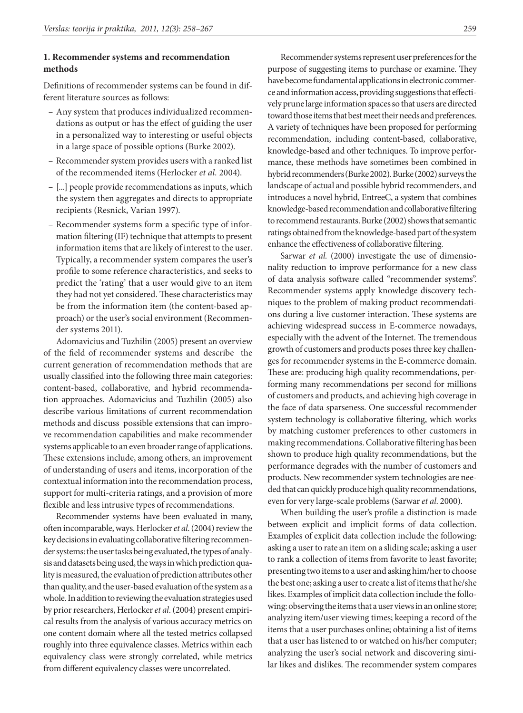### **1. Recommender systems and recommendation methods**

Definitions of recommender systems can be found in different literature sources as follows:

- Any system that produces individualized recommendations as output or has the effect of guiding the user in a personalized way to interesting or useful objects in a large space of possible options (Burke 2002).
- Recommender system provides users with a ranked list of the recommended items (Herlocker *et al.* 2004).
- [...] people provide recommendations as inputs, which the system then aggregates and directs to appropriate recipients (Resnick, Varian 1997).
- Recommender systems form a specific type of information filtering (IF) technique that attempts to present information items that are likely of interest to the user. Typically, a recommender system compares the user's profile to some reference characteristics, and seeks to predict the 'rating' that a user would give to an item they had not yet considered. These characteristics may be from the information item (the content-based approach) or the user's social environment (Recommender systems 2011).

Adomavicius and Tuzhilin (2005) present an overview of the field of recommender systems and describe the current generation of recommendation methods that are usually classified into the following three main categories: content-based, collaborative, and hybrid recommendation approaches. Adomavicius and Tuzhilin (2005) also describe various limitations of current recommendation methods and discuss possible extensions that can improve recommendation capabilities and make recommender systems applicable to an even broader range of applications. These extensions include, among others, an improvement of understanding of users and items, incorporation of the contextual information into the recommendation process, support for multi-criteria ratings, and a provision of more flexible and less intrusive types of recommendations.

Recommender systems have been evaluated in many, often incomparable, ways. Herlocker *et al*. (2004) review the key decisions in evaluating collaborative filtering recommender systems: the user tasks being evaluated, the types of analysis and datasets being used, the ways in which prediction quality is measured, the evaluation of prediction attributes other than quality, and the user-based evaluation of the system as a whole. In addition to reviewing the evaluation strategies used by prior researchers, Herlocker *et al*. (2004) present empirical results from the analysis of various accuracy metrics on one content domain where all the tested metrics collapsed roughly into three equivalence classes. Metrics within each equivalency class were strongly correlated, while metrics from different equivalency classes were uncorrelated.

Recommender systems represent user preferences for the purpose of suggesting items to purchase or examine. They have become fundamental applications in electronic commerce and information access, providing suggestions that effectively prune large information spaces so that users are directed toward those items that best meet their needs and preferences. A variety of techniques have been proposed for performing recommendation, including content-based, collaborative, knowledge-based and other techniques. To improve performance, these methods have sometimes been combined in hybrid recommenders (Burke 2002). Burke (2002) surveys the landscape of actual and possible hybrid recommenders, and introduces a novel hybrid, EntreeC, a system that combines knowledge-based recommendation and collaborative filtering to recommend restaurants. Burke (2002) shows that semantic ratings obtained from the knowledge-based part of the system enhance the effectiveness of collaborative filtering.

Sarwar *et al.* (2000) investigate the use of dimensionality reduction to improve performance for a new class of data analysis software called "recommender systems". Recommender systems apply knowledge discovery techniques to the problem of making product recommendations during a live customer interaction. These systems are achieving widespread success in E-commerce nowadays, especially with the advent of the Internet. The tremendous growth of customers and products poses three key challenges for recommender systems in the E-commerce domain. These are: producing high quality recommendations, performing many recommendations per second for millions of customers and products, and achieving high coverage in the face of data sparseness. One successful recommender system technology is collaborative filtering, which works by matching customer preferences to other customers in making recommendations. Collaborative filtering has been shown to produce high quality recommendations, but the performance degrades with the number of customers and products. New recommender system technologies are needed that can quickly produce high quality recommendations, even for very large-scale problems (Sarwar *et al*. 2000).

When building the user's profile a distinction is made between explicit and implicit forms of data collection. Examples of explicit data collection include the following: asking a user to rate an item on a sliding scale; asking a user to rank a collection of items from favorite to least favorite; presenting two items to a user and asking him/her to choose the best one; asking a user to create a list of items that he/she likes. Examples of implicit data collection include the following: observing the items that a user views in an online store; analyzing item/user viewing times; keeping a record of the items that a user purchases online; obtaining a list of items that a user has listened to or watched on his/her computer; analyzing the user's social network and discovering similar likes and dislikes. The recommender system compares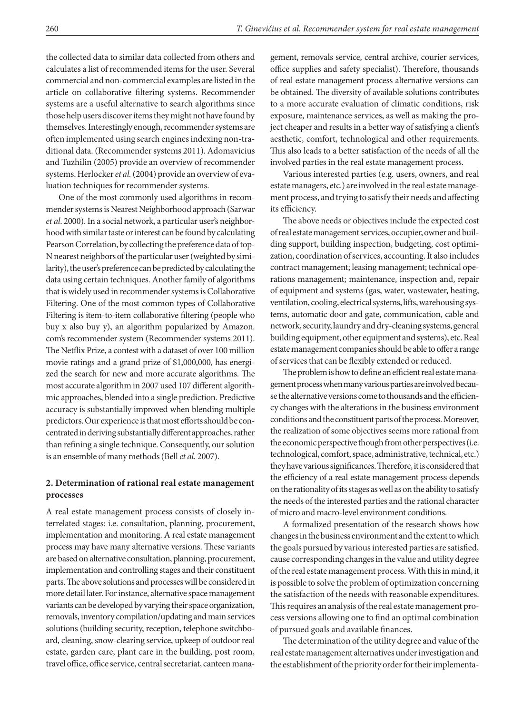the collected data to similar data collected from others and calculates a list of recommended items for the user. Several commercial and non-commercial examples are listed in the article on collaborative filtering systems. Recommender systems are a useful alternative to search algorithms since those help users discover items they might not have found by themselves. Interestingly enough, recommender systems are often implemented using search engines indexing non-traditional data. (Recommender systems 2011). Adomavicius and Tuzhilin (2005) provide an overview of recommender systems. Herlocker *et al.* (2004) provide an overview of evaluation techniques for recommender systems.

One of the most commonly used algorithms in recommender systems is Nearest Neighborhood approach (Sarwar *et al*. 2000). In a social network, a particular user's neighborhood with similar taste or interest can be found by calculating Pearson Correlation, by collecting the preference data of top-N nearest neighbors of the particular user (weighted by similarity), the user's preference can be predicted by calculating the data using certain techniques. Another family of algorithms that is widely used in recommender systems is Collaborative Filtering. One of the most common types of Collaborative Filtering is item-to-item collaborative filtering (people who buy x also buy y), an algorithm popularized by Amazon. com's recommender system (Recommender systems 2011). The Netflix Prize, a contest with a dataset of over 100 million movie ratings and a grand prize of \$1,000,000, has energized the search for new and more accurate algorithms. The most accurate algorithm in 2007 used 107 different algorithmic approaches, blended into a single prediction. Predictive accuracy is substantially improved when blending multiple predictors. Our experience is that most efforts should be concentrated in deriving substantially different approaches, rather than refining a single technique. Consequently, our solution is an ensemble of many methods (Bell *et al.* 2007).

### **2. Determination of rational real estate management processes**

A real estate management process consists of closely interrelated stages: i.e. consultation, planning, procurement, implementation and monitoring. A real estate management process may have many alternative versions. These variants are based on alternative consultation, planning, procurement, implementation and controlling stages and their constituent parts. The above solutions and processes will be considered in more detail later. For instance, alternative space management variants can be developed by varying their space organization, removals, inventory compilation/updating and main services solutions (building security, reception, telephone switchboard, cleaning, snow-clearing service, upkeep of outdoor real estate, garden care, plant care in the building, post room, travel office, office service, central secretariat, canteen management, removals service, central archive, courier services, office supplies and safety specialist). Therefore, thousands of real estate management process alternative versions can be obtained. The diversity of available solutions contributes to a more accurate evaluation of climatic conditions, risk exposure, maintenance services, as well as making the project cheaper and results in a better way of satisfying a client's aesthetic, comfort, technological and other requirements. This also leads to a better satisfaction of the needs of all the involved parties in the real estate management process.

Various interested parties (e.g. users, owners, and real estate managers, etc.) are involved in the real estate management process, and trying to satisfy their needs and affecting its efficiency.

The above needs or objectives include the expected cost of real estate management services, occupier, owner and building support, building inspection, budgeting, cost optimization, coordination of services, accounting. It also includes contract management; leasing management; technical operations management; maintenance, inspection and, repair of equipment and systems (gas, water, wastewater, heating, ventilation, cooling, electrical systems, lifts, warehousing systems, automatic door and gate, communication, cable and network, security, laundry and dry-cleaning systems, general building equipment, other equipment and systems), etc. Real estate management companies should be able to offer a range of services that can be flexibly extended or reduced.

The problem is how to define an efficient real estate management process when many various parties are involved because the alternative versions come to thousands and the efficiency changes with the alterations in the business environment conditions and the constituent parts of the process. Moreover, the realization of some objectives seems more rational from the economic perspective though from other perspectives (i.e. technological, comfort, space, administrative, technical, etc.) they have various significances. Therefore, it is considered that the efficiency of a real estate management process depends on the rationality of its stages as well as on the ability to satisfy the needs of the interested parties and the rational character of micro and macro-level environment conditions.

A formalized presentation of the research shows how changes in the business environment and the extent to which the goals pursued by various interested parties are satisfied, cause corresponding changes in the value and utility degree of the real estate management process. With this in mind, it is possible to solve the problem of optimization concerning the satisfaction of the needs with reasonable expenditures. This requires an analysis of the real estate management process versions allowing one to find an optimal combination of pursued goals and available finances.

The determination of the utility degree and value of the real estate management alternatives under investigation and the establishment of the priority order for their implementa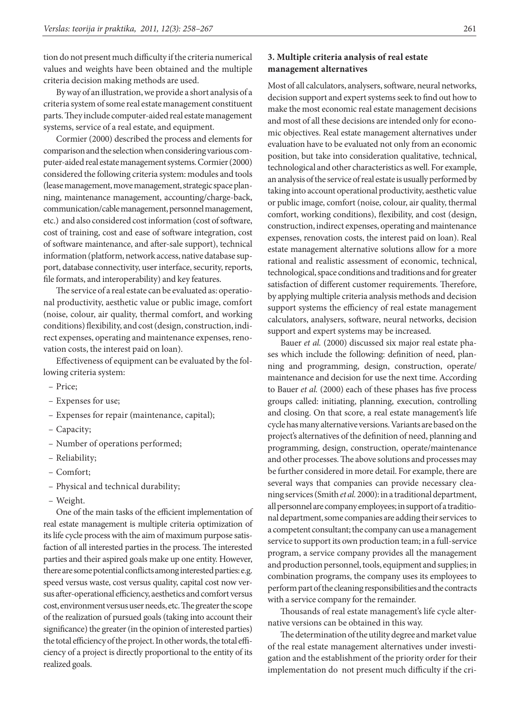tion do not present much difficulty if the criteria numerical values and weights have been obtained and the multiple criteria decision making methods are used.

By way of an illustration, we provide a short analysis of a criteria system of some real estate management constituent parts. They include computer-aided real estate management systems, service of a real estate, and equipment.

Cormier (2000) described the process and elements for comparison and the selection when considering various computer-aided real estate management systems. Cormier (2000) considered the following criteria system: modules and tools (lease management, move management, strategic space planning, maintenance management, accounting/charge-back, communication/cable management, personnel management, etc.) and also considered cost information (cost of software, cost of training, cost and ease of software integration, cost of software maintenance, and after-sale support), technical information (platform, network access, native database support, database connectivity, user interface, security, reports, file formats, and interoperability) and key features.

The service of a real estate can be evaluated as: operational productivity, aesthetic value or public image, comfort (noise, colour, air quality, thermal comfort, and working conditions) flexibility, and cost (design, construction, indirect expenses, operating and maintenance expenses, renovation costs, the interest paid on loan).

Effectiveness of equipment can be evaluated by the following criteria system:

- Price;
- Expenses for use;
- Expenses for repair (maintenance, capital);
- Capacity;
- Number of operations performed;
- Reliability;
- Comfort;
- Physical and technical durability;
- Weight.

One of the main tasks of the efficient implementation of real estate management is multiple criteria optimization of its life cycle process with the aim of maximum purpose satisfaction of all interested parties in the process. The interested parties and their aspired goals make up one entity. However, there are some potential conflicts among interested parties: e.g. speed versus waste, cost versus quality, capital cost now versus after-operational efficiency, aesthetics and comfort versus cost, environment versus user needs, etc. The greater the scope of the realization of pursued goals (taking into account their significance) the greater (in the opinion of interested parties) the total efficiency of the project. In other words, the total efficiency of a project is directly proportional to the entity of its realized goals.

## **3. Multiple criteria analysis of real estate management alternatives**

Most of all calculators, analysers, software, neural networks, decision support and expert systems seek to find out how to make the most economic real estate management decisions and most of all these decisions are intended only for economic objectives. Real estate management alternatives under evaluation have to be evaluated not only from an economic position, but take into consideration qualitative, technical, technological and other characteristics as well. For example, an analysis of the service of real estate is usually performed by taking into account operational productivity, aesthetic value or public image, comfort (noise, colour, air quality, thermal comfort, working conditions), flexibility, and cost (design, construction, indirect expenses, operating and maintenance expenses, renovation costs, the interest paid on loan). Real estate management alternative solutions allow for a more rational and realistic assessment of economic, technical, technological, space conditions and traditions and for greater satisfaction of different customer requirements. Therefore, by applying multiple criteria analysis methods and decision support systems the efficiency of real estate management calculators, analysers, software, neural networks, decision support and expert systems may be increased.

Bauer *et al.* (2000) discussed six major real estate phases which include the following: definition of need, planning and programming, design, construction, operate/ maintenance and decision for use the next time. According to Bauer *et al.* (2000) each of these phases has five process groups called: initiating, planning, execution, controlling and closing. On that score, a real estate management's life cycle has many alternative versions. Variants are based on the project's alternatives of the definition of need, planning and programming, design, construction, operate/maintenance and other processes. The above solutions and processes may be further considered in more detail. For example, there are several ways that companies can provide necessary cleaning services (Smith *et al.* 2000): in a traditional department, all personnel are company employees; in support of a traditional department, some companies are adding their services to a competent consultant; the company can use a management service to support its own production team; in a full-service program, a service company provides all the management and production personnel, tools, equipment and supplies; in combination programs, the company uses its employees to perform part of the cleaning responsibilities and the contracts with a service company for the remainder.

Thousands of real estate management's life cycle alternative versions can be obtained in this way.

The determination of the utility degree and market value of the real estate management alternatives under investigation and the establishment of the priority order for their implementation do not present much difficulty if the cri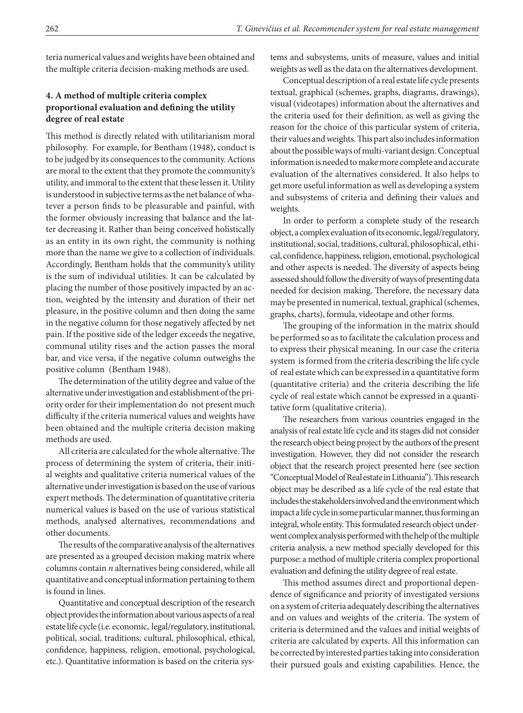teria numerical values and weights have been obtained and the multiple criteria decision-making methods are used.

## **4. A method of multiple criteria complex proportional evaluation and defining the utility degree of real estate**

This method is directly related with utilitarianism moral philosophy. For example, for Bentham (1948), conduct is to be judged by its consequences to the community. Actions are moral to the extent that they promote the community's utility, and immoral to the extent that these lessen it. Utility is understood in subjective terms as the net balance of whatever a person finds to be pleasurable and painful, with the former obviously increasing that balance and the latter decreasing it. Rather than being conceived holistically as an entity in its own right, the community is nothing more than the name we give to a collection of individuals. Accordingly, Bentham holds that the community's utility is the sum of individual utilities. It can be calculated by placing the number of those positively impacted by an action, weighted by the intensity and duration of their net pleasure, in the positive column and then doing the same in the negative column for those negatively affected by net pain. If the positive side of the ledger exceeds the negative, communal utility rises and the action passes the moral bar, and vice versa, if the negative column outweighs the positive column (Bentham 1948).

The determination of the utility degree and value of the alternative under investigation and establishment of the priority order for their implementation do not present much difficulty if the criteria numerical values and weights have been obtained and the multiple criteria decision making methods are used.

All criteria are calculated for the whole alternative. The process of determining the system of criteria, their initial weights and qualitative criteria numerical values of the alternative under investigation is based on the use of various expert methods. The determination of quantitative criteria numerical values is based on the use of various statistical methods, analysed alternatives, recommendations and other documents.

The results of the comparative analysis of the alternatives are presented as a grouped decision making matrix where columns contain *n* alternatives being considered, while all quantitative and conceptual information pertaining to them is found in lines.

Quantitative and conceptual description of the research object provides the information about various aspects of a real estate life cycle (i.e. economic, legal/regulatory, institutional, political, social, traditions, cultural, philosophical, ethical, confidence, happiness, religion, emotional, psychological, etc.). Quantitative information is based on the criteria systems and subsystems, units of measure, values and initial weights as well as the data on the alternatives development.

Conceptual description of a real estate life cycle presents textual, graphical (schemes, graphs, diagrams, drawings), visual (videotapes) information about the alternatives and the criteria used for their definition, as well as giving the reason for the choice of this particular system of criteria, their values and weights. This part also includes information about the possible ways of multi-variant design. Conceptual information is needed to make more complete and accurate evaluation of the alternatives considered. It also helps to get more useful information as well as developing a system and subsystems of criteria and defining their values and weights.

In order to perform a complete study of the research object, a complex evaluation of its economic, legal/regulatory, institutional, social, traditions, cultural, philosophical, ethical, confidence, happiness, religion, emotional, psychological and other aspects is needed. The diversity of aspects being assessed should follow the diversity of ways of presenting data needed for decision making. Therefore, the necessary data may be presented in numerical, textual, graphical (schemes, graphs, charts), formula, videotape and other forms.

The grouping of the information in the matrix should be performed so as to facilitate the calculation process and to express their physical meaning. In our case the criteria system is formed from the criteria describing the life cycle of real estate which can be expressed in a quantitative form (quantitative criteria) and the criteria describing the life cycle of real estate which cannot be expressed in a quantitative form (qualitative criteria).

The researchers from various countries engaged in the analysis of real estate life cycle and its stages did not consider the research object being project by the authors of the present investigation. However, they did not consider the research object that the research project presented here (see section "Conceptual Model of Real estate in Lithuania"). This research object may be described as a life cycle of the real estate that includes the stakeholders involved and the environment which impact a life cycle in some particular manner, thus forming an integral, whole entity. This formulated research object underwent complex analysis performed with the help of the multiple criteria analysis, a new method specially developed for this purpose: a method of multiple criteria complex proportional evaluation and defining the utility degree of real estate.

This method assumes direct and proportional dependence of significance and priority of investigated versions on a system of criteria adequately describing the alternatives and on values and weights of the criteria. The system of criteria is determined and the values and initial weights of criteria are calculated by experts. All this information can be corrected by interested parties taking into consideration their pursued goals and existing capabilities. Hence, the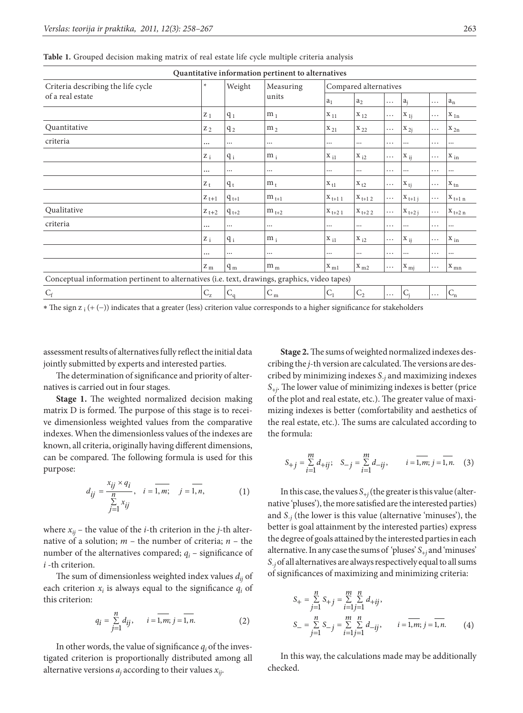| Quantitative information pertinent to alternatives                                            |           |           |                    |                            |                |          |             |          |                              |  |
|-----------------------------------------------------------------------------------------------|-----------|-----------|--------------------|----------------------------|----------------|----------|-------------|----------|------------------------------|--|
| Criteria describing the life cycle<br>of a real estate                                        | $\ast$    | Weight    | Measuring<br>units | Compared alternatives      |                |          |             |          |                              |  |
|                                                                                               |           |           |                    | a <sub>1</sub>             | $a_2$          | .        | $a_i$       | .        | $a_n$                        |  |
|                                                                                               | $Z_1$     | $q_1$     | m <sub>1</sub>     | $X_{11}$                   | $X_{12}$       | $\cdots$ | $X_{1i}$    | $\cdots$ | $X_{1n}$                     |  |
| Quantitative                                                                                  | $Z_2$     | $q_2$     | m <sub>2</sub>     | $X_{21}$                   | $X_{22}$       | $\cdots$ | $X_{2j}$    | $\cdots$ | $X_{2n}$                     |  |
| criteria                                                                                      | $\cdots$  | $\cdots$  | $\cdots$           |                            |                | $\cdots$ |             | .        | $\cdots$                     |  |
|                                                                                               | $Z_i$     | $q_i$     | $m_i$              | $X_{i1}$                   | $X_{i2}$       | $\cdots$ | $X_{ii}$    | $\cdots$ | $X_{in}$                     |  |
|                                                                                               | $\cdots$  | $\cdots$  | $\cdots$           | $\cdots$                   |                | $\cdots$ | $\cdots$    | .        | $\cdots$                     |  |
|                                                                                               | $Z_t$     | $q_t$     | $m_{t}$            | $X_{t1}$                   | $X_{t2}$       | $\cdots$ | $X_{ti}$    | $\cdots$ | $X_{tn}$                     |  |
|                                                                                               | $Z_{t+1}$ | $q_{t+1}$ | $m_{t+1}$          | $X_{t+1}$ 1                | $X_{t+1,2}$    | $\cdots$ | $X_{t+1 j}$ | .        | $\mathbf{X}_{t+1 \; n}$      |  |
| Qualitative                                                                                   | $Z_{t+2}$ | $q_{t+2}$ | $m_{t+2}$          | $X_{t+2,1}$                | $X_{t+2,2}$    | $\cdots$ | $X_{t+2 i}$ | $\cdots$ | $\mathbf{X}_{t+2\,\text{n}}$ |  |
| criteria                                                                                      | $\cdots$  | $\cdots$  | $\cdots$           | $\cdots$                   | $\cdots$       | $\cdots$ | $\cdots$    | .        | $\cdots$                     |  |
|                                                                                               | $Z_i$     | $q_i$     | $m_i$              | $X_{i1}$                   | $X_{i2}$       | $\cdots$ | $ X_{ij} $  | $\cdots$ | $X_{in}$                     |  |
|                                                                                               | $\cdots$  | $\cdots$  | $\cdots$           |                            |                | $\cdots$ |             | .        | $\cdots$                     |  |
|                                                                                               | $Z_{m}$   | $q_m$     | $\rm m_{\,m}$      | $\mathbf{I} \mathbf{X}$ ml | $X_{m2}$       | $\cdots$ | $ X_{mj} $  | $\cdots$ | $\mathbf{X}_{mn}$            |  |
| Conceptual information pertinent to alternatives (i.e. text, drawings, graphics, video tapes) |           |           |                    |                            |                |          |             |          |                              |  |
| $C_f$                                                                                         | $C_{Z}$   | $C_q$     | $C_m$              | $C_1$                      | C <sub>2</sub> | $\cdots$ | $C_i$       | $\cdots$ | $\mathrm{C}_\mathrm{n}$      |  |

**Table 1.** Grouped decision making matrix of real estate life cycle multiple criteria analysis

∗ The sign z i (+ (−)) indicates that a greater (less) criterion value corresponds to a higher significance for stakeholders

assessment results of alternatives fully reflect the initial data jointly submitted by experts and interested parties.

The determination of significance and priority of alternatives is carried out in four stages.

**Stage 1.** The weighted normalized decision making matrix D is formed. The purpose of this stage is to receive dimensionless weighted values from the comparative indexes. When the dimensionless values of the indexes are known, all criteria, originally having different dimensions, can be compared. The following formula is used for this purpose:

$$
d_{ij} = \frac{x_{ij} \times q_i}{\sum\limits_{j=1}^{n} x_{ij}}, \quad i = \overline{1, m}; \quad j = \overline{1, n}, \tag{1}
$$

where  $x_{ij}$  – the value of the *i*-th criterion in the *j*-th alternative of a solution; *m* – the number of criteria; *n* – the number of the alternatives compared;  $q_i$  – significance of *i* -th criterion.

The sum of dimensionless weighted index values *dij* of each criterion  $x_i$  is always equal to the significance  $q_i$  of this criterion:

$$
q_i = \sum_{j=1}^{n} d_{ij}, \qquad i = \overline{1, m}; j = \overline{1, n}.
$$
 (2)

In other words, the value of significance  $q_i$  of the investigated criterion is proportionally distributed among all alternative versions *aj* according to their values *xij*.

**Stage 2.** The sums of weighted normalized indexes describing the *j*-th version are calculated. The versions are described by minimizing indexes *S*-*<sup>j</sup>* and maximizing indexes *S*+*j* . The lower value of minimizing indexes is better (price of the plot and real estate, etc.). The greater value of maximizing indexes is better (comfortability and aesthetics of the real estate, etc.). The sums are calculated according to the formula:

$$
S_{+j} = \sum_{i=1}^{m} d_{+ij}; \quad S_{-j} = \sum_{i=1}^{m} d_{-ij}, \qquad i = \overline{1, m}; j = \overline{1, n}. \quad (3)
$$

In this case, the values  $S_{+j}$  (the greater is this value (alternative 'pluses'), the more satisfied are the interested parties) and  $S_{-j}$  (the lower is this value (alternative 'minuses'), the better is goal attainment by the interested parties) express the degree of goals attained by the interested parties in each alternative. In any case the sums of 'pluses' *S*+*<sup>j</sup>* and 'minuses' *S*-*j* of all alternatives are always respectively equal to all sums of significances of maximizing and minimizing criteria:

$$
S_{+} = \sum_{j=1}^{n} S_{+j} = \sum_{i=1}^{m} \sum_{j=1}^{n} d_{+ij},
$$
  
\n
$$
S_{-} = \sum_{j=1}^{n} S_{-j} = \sum_{i=1}^{m} \sum_{j=1}^{n} d_{-ij}, \qquad i = \overline{1, m}; j = \overline{1, n}.
$$
 (4)

 In this way, the calculations made may be additionally checked.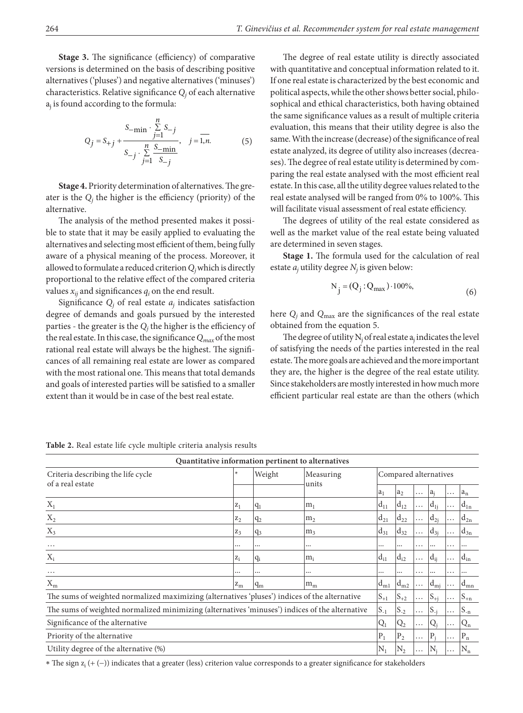**Stage 3.** The significance (efficiency) of comparative versions is determined on the basis of describing positive alternatives ('pluses') and negative alternatives ('minuses') characteristics. Relative significance  $Q_j$  of each alternative aj is found according to the formula:

$$
Q_{j} = S_{+j} + \frac{S_{-\min} \cdot \sum_{j=1}^{n} S_{-j}}{S_{-j} \cdot \sum_{j=1}^{n} \frac{S_{-\min}}{S_{-j}}}, \quad j = \overline{1, n}.
$$
 (5)

**Stage 4.** Priority determination of alternatives. The greater is the  $Q_j$  the higher is the efficiency (priority) of the alternative.

The analysis of the method presented makes it possible to state that it may be easily applied to evaluating the alternatives and selecting most efficient of them, being fully aware of a physical meaning of the process. Moreover, it allowed to formulate a reduced criterion *Qj* which is directly proportional to the relative effect of the compared criteria values  $x_{ij}$  and significances  $q_i$  on the end result.

Significance  $Q_i$  of real estate  $a_i$  indicates satisfaction degree of demands and goals pursued by the interested parties - the greater is the  $Q_j$  the higher is the efficiency of the real estate. In this case, the significance *Qmax* of the most rational real estate will always be the highest. The significances of all remaining real estate are lower as compared with the most rational one. This means that total demands and goals of interested parties will be satisfied to a smaller extent than it would be in case of the best real estate.

The degree of real estate utility is directly associated with quantitative and conceptual information related to it. If one real estate is characterized by the best economic and political aspects, while the other shows better social, philosophical and ethical characteristics, both having obtained the same significance values as a result of multiple criteria evaluation, this means that their utility degree is also the same. With the increase (decrease) of the significance of real estate analyzed, its degree of utility also increases (decreases). The degree of real estate utility is determined by comparing the real estate analysed with the most efficient real estate. In this case, all the utility degree values related to the real estate analysed will be ranged from 0% to 100%. This will facilitate visual assessment of real estate efficiency.

The degrees of utility of the real estate considered as well as the market value of the real estate being valuated are determined in seven stages.

**Stage 1.** The formula used for the calculation of real estate *aj* utility degree *Nj* is given below:

$$
N_j = (Q_j : Q_{max}) \cdot 100\%,\tag{6}
$$

here  $Q_i$  and  $Q_{\text{max}}$  are the significances of the real estate obtained from the equation 5.

The degree of utility  $N_j$  of real estate  $a_j$  indicates the level of satisfying the needs of the parties interested in the real estate. The more goals are achieved and the more important they are, the higher is the degree of the real estate utility. Since stakeholders are mostly interested in how much more efficient particular real estate are than the others (which

| Quantitative information pertinent to alternatives                                             |             |                |                |                       |                    |          |              |          |          |  |
|------------------------------------------------------------------------------------------------|-------------|----------------|----------------|-----------------------|--------------------|----------|--------------|----------|----------|--|
| Criteria describing the life cycle<br>of a real estate                                         | $\ast$      | Weight         | Measuring      | Compared alternatives |                    |          |              |          |          |  |
|                                                                                                |             |                | units          | $a_1$                 | $a_2$              | $\cdots$ | a,           | .        | $ a_n $  |  |
| $X_1$                                                                                          | $z_1$       | $ q_1$         | m <sub>1</sub> | $d_{11}$              | $\mathsf{d}_{12}$  | $\cdots$ | $d_{1i}$     | $\cdots$ | $d_{1n}$ |  |
| $X_2$                                                                                          | $z_2$       | $\mathsf{q}_2$ | m <sub>2</sub> | $d_{21}$              | $1d_{22}$          | $\cdots$ | $d_{2i}$     | $\cdots$ | $d_{2n}$ |  |
| $X_3$                                                                                          | $Z_3$       | <u> q3</u>     | m <sub>3</sub> | $\mathsf{Id}_{31}$    | $\mathsf{d}_{32}$  | $\cdots$ | $d_{3i}$     | $\cdots$ | $d_{3n}$ |  |
| $\cdots$                                                                                       |             |                |                |                       |                    | .        |              | .        |          |  |
| $X_i$                                                                                          | $z_i$       | q <sub>i</sub> | $m_i$          | $d_{i1}$              | $\rm d_{i2}$       | $\cdots$ | $d_{ij}$     | $\cdots$ | $d_{in}$ |  |
| $\cdots$                                                                                       |             | $\cdots$       |                |                       | $\cdots$           | .        |              | .        |          |  |
| $X_{m}$                                                                                        | $z_{\rm m}$ | $q_m$          | $m_m$          | $d_{m1}$              | $d_{m2}$           | .        | $d_{\rm mj}$ | $\cdots$ | $d_{mn}$ |  |
| The sums of weighted normalized maximizing (alternatives 'pluses') indices of the alternative  |             |                |                |                       | $\mathcal{S}_{+2}$ | $\cdots$ | $S_{+i}$     | $\cdots$ | $S_{+n}$ |  |
| The sums of weighted normalized minimizing (alternatives 'minuses') indices of the alternative |             |                |                |                       | $\mathcal{S}_{-2}$ | $\cdots$ | $S_{-i}$     | $\cdots$ | $S_{-n}$ |  |
| Significance of the alternative                                                                |             |                |                |                       | Q <sub>2</sub>     | $\cdots$ | $Q_i$        | $\cdots$ | $Q_{n}$  |  |
| Priority of the alternative                                                                    |             |                |                |                       | $P_2$              | $\cdots$ | $P_i$        | $\cdots$ | $P_n$    |  |
| Utility degree of the alternative (%)                                                          |             |                |                |                       | $\mathrm{N}_2$     | .        | N.           | .        | $N_{n}$  |  |

**Table 2.** Real estate life cycle multiple criteria analysis results

\* The sign z<sub>i</sub> (+ (−)) indicates that a greater (less) criterion value corresponds to a greater significance for stakeholders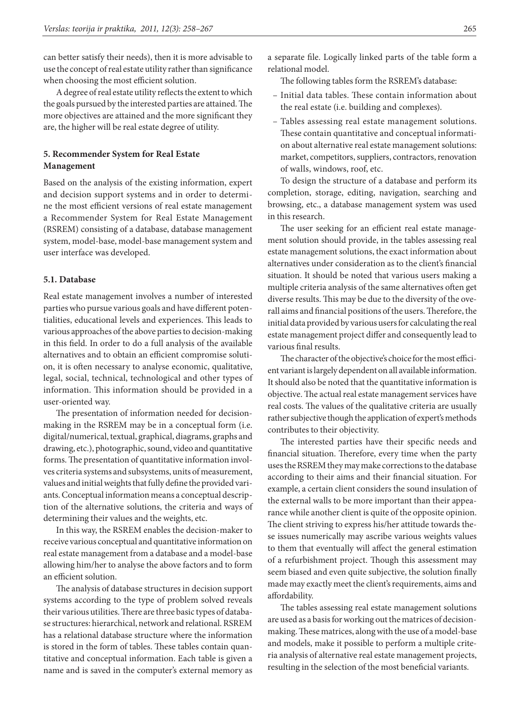can better satisfy their needs), then it is more advisable to use the concept of real estate utility rather than significance when choosing the most efficient solution.

A degree of real estate utility reflects the extent to which the goals pursued by the interested parties are attained. The more objectives are attained and the more significant they are, the higher will be real estate degree of utility.

## **5. Recommender System for Real Estate Management**

Based on the analysis of the existing information, expert and decision support systems and in order to determine the most efficient versions of real estate management a Recommender System for Real Estate Management (RSREM) consisting of a database, database management system, model-base, model-base management system and user interface was developed.

#### **5.1. Database**

Real estate management involves a number of interested parties who pursue various goals and have different potentialities, educational levels and experiences. This leads to various approaches of the above parties to decision-making in this field. In order to do a full analysis of the available alternatives and to obtain an efficient compromise solution, it is often necessary to analyse economic, qualitative, legal, social, technical, technological and other types of information. This information should be provided in a user-oriented way.

The presentation of information needed for decisionmaking in the RSREM may be in a conceptual form (i.e. digital/numerical, textual, graphical, diagrams, graphs and drawing, etc.), photographic, sound, video and quantitative forms. The presentation of quantitative information involves criteria systems and subsystems, units of measurement, values and initial weights that fully define the provided variants. Conceptual information means a conceptual description of the alternative solutions, the criteria and ways of determining their values and the weights, etc.

In this way, the RSREM enables the decision-maker to receive various conceptual and quantitative information on real estate management from a database and a model-base allowing him/her to analyse the above factors and to form an efficient solution.

The analysis of database structures in decision support systems according to the type of problem solved reveals their various utilities. There are three basic types of database structures: hierarchical, network and relational. RSREM has a relational database structure where the information is stored in the form of tables. These tables contain quantitative and conceptual information. Each table is given a name and is saved in the computer's external memory as a separate file. Logically linked parts of the table form a relational model.

The following tables form the RSREM's database:

- Initial data tables. These contain information about the real estate (i.e. building and complexes).
- Tables assessing real estate management solutions. These contain quantitative and conceptual information about alternative real estate management solutions: market, competitors, suppliers, contractors, renovation of walls, windows, roof, etc.

To design the structure of a database and perform its completion, storage, editing, navigation, searching and browsing, etc., a database management system was used in this research.

The user seeking for an efficient real estate management solution should provide, in the tables assessing real estate management solutions, the exact information about alternatives under consideration as to the client's financial situation. It should be noted that various users making a multiple criteria analysis of the same alternatives often get diverse results. This may be due to the diversity of the overall aims and financial positions of the users. Therefore, the initial data provided by various users for calculating the real estate management project differ and consequently lead to various final results.

The character of the objective's choice for the most efficient variant is largely dependent on all available information. It should also be noted that the quantitative information is objective. The actual real estate management services have real costs. The values of the qualitative criteria are usually rather subjective though the application of expert's methods contributes to their objectivity.

The interested parties have their specific needs and financial situation. Therefore, every time when the party uses the RSREM they may make corrections to the database according to their aims and their financial situation. For example, a certain client considers the sound insulation of the external walls to be more important than their appearance while another client is quite of the opposite opinion. The client striving to express his/her attitude towards these issues numerically may ascribe various weights values to them that eventually will affect the general estimation of a refurbishment project. Though this assessment may seem biased and even quite subjective, the solution finally made may exactly meet the client's requirements, aims and affordability.

The tables assessing real estate management solutions are used as a basis for working out the matrices of decisionmaking. These matrices, along with the use of a model-base and models, make it possible to perform a multiple criteria analysis of alternative real estate management projects, resulting in the selection of the most beneficial variants.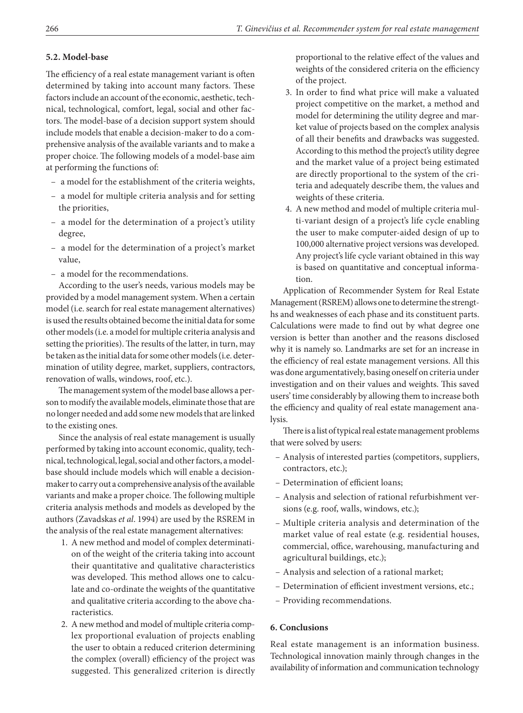#### **5.2. Model-base**

The efficiency of a real estate management variant is often determined by taking into account many factors. These factors include an account of the economic, aesthetic, technical, technological, comfort, legal, social and other factors. The model-base of a decision support system should include models that enable a decision-maker to do a comprehensive analysis of the available variants and to make a proper choice. The following models of a model-base aim at performing the functions of:

- a model for the establishment of the criteria weights,
- a model for multiple criteria analysis and for setting the priorities,
- a model for the determination of a project's utility degree,
- a model for the determination of a project's market value,
- a model for the recommendations.

According to the user's needs, various models may be provided by a model management system. When a certain model (i.e. search for real estate management alternatives) is used the results obtained become the initial data for some other models (i.e. a model for multiple criteria analysis and setting the priorities). The results of the latter, in turn, may be taken as the initial data for some other models (i.e. determination of utility degree, market, suppliers, contractors, renovation of walls, windows, roof, etc.).

The management system of the model base allows a person to modify the available models, eliminate those that are no longer needed and add some new models that are linked to the existing ones.

Since the analysis of real estate management is usually performed by taking into account economic, quality, technical, technological, legal, social and other factors, a modelbase should include models which will enable a decisionmaker to carry out a comprehensive analysis of the available variants and make a proper choice. The following multiple criteria analysis methods and models as developed by the authors (Zavadskas *et al*. 1994) are used by the RSREM in the analysis of the real estate management alternatives:

- 1. A new method and model of complex determination of the weight of the criteria taking into account their quantitative and qualitative characteristics was developed. This method allows one to calculate and co-ordinate the weights of the quantitative and qualitative criteria according to the above characteristics.
- 2. A new method and model of multiple criteria complex proportional evaluation of projects enabling the user to obtain a reduced criterion determining the complex (overall) efficiency of the project was suggested. This generalized criterion is directly

proportional to the relative effect of the values and weights of the considered criteria on the efficiency of the project.

- 3. In order to find what price will make a valuated project competitive on the market, a method and model for determining the utility degree and market value of projects based on the complex analysis of all their benefits and drawbacks was suggested. According to this method the project's utility degree and the market value of a project being estimated are directly proportional to the system of the criteria and adequately describe them, the values and weights of these criteria.
- 4. A new method and model of multiple criteria multi-variant design of a project's life cycle enabling the user to make computer-aided design of up to 100,000 alternative project versions was developed. Any project's life cycle variant obtained in this way is based on quantitative and conceptual information.

Application of Recommender System for Real Estate Management (RSREM) allows one to determine the strengths and weaknesses of each phase and its constituent parts. Calculations were made to find out by what degree one version is better than another and the reasons disclosed why it is namely so. Landmarks are set for an increase in the efficiency of real estate management versions. All this was done argumentatively, basing oneself on criteria under investigation and on their values and weights. This saved users' time considerably by allowing them to increase both the efficiency and quality of real estate management analysis.

There is a list of typical real estate management problems that were solved by users:

- Analysis of interested parties (competitors, suppliers, contractors, etc.);
- Determination of efficient loans;
- Analysis and selection of rational refurbishment versions (e.g. roof, walls, windows, etc.);
- Multiple criteria analysis and determination of the market value of real estate (e.g. residential houses, commercial, office, warehousing, manufacturing and agricultural buildings, etc.);
- Analysis and selection of a rational market;
- Determination of efficient investment versions, etc.;
- Providing recommendations.

### **6. Conclusions**

Real estate management is an information business. Technological innovation mainly through changes in the availability of information and communication technology